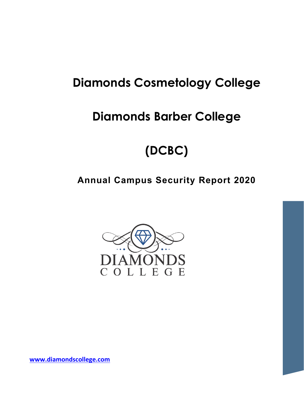# **Diamonds Cosmetology College**

# **Diamonds Barber College**

# **(DCBC)**

# **Annual Campus Security Report 2020**



**[www.diamondscollege.com](http://www.diamondscollege.com/)**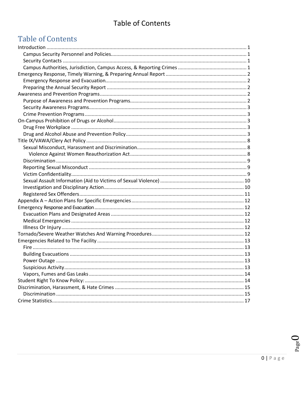## **Table of Contents**

## **Table of Contents**

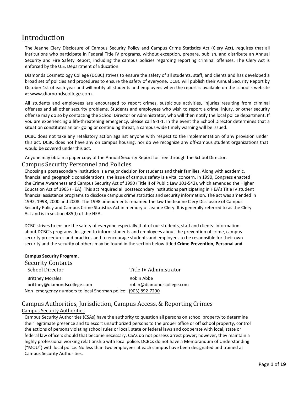### <span id="page-2-0"></span>Introduction

The Jeanne Clery Disclosure of Campus Security Policy and Campus Crime Statistics Act (Clery Act), requires that all institutions who participate in Federal Title IV programs, without exception, prepare, publish, and distribute an Annual Security and Fire Safety Report, including the campus policies regarding reporting criminal offenses. The Clery Act is enforced by the U.S. Department of Education.

Diamonds Cosmetology College (DCBC) strives to ensure the safety of all students, staff, and clients and has developed a broad set of policies and procedures to ensure the safety of everyone. DCBC will publish their Annual Security Report by October 1st of each year and will notify all students and employees when the report is available on the school's website at [www.diamondscollege.com.](http://www.diamondscollege.com./)

All students and employees are encouraged to report crimes, suspicious activities, injuries resulting from criminal offenses and all other security problems. Students and employees who wish to report a crime, injury, or other security offense may do so by contacting the School Director or Administrator, who will then notify the local police department. If you are experiencing a life-threatening emergency, please call 9-1-1. In the event the School Director determines that a situation constitutes an on- going or continuing threat, a campus-wide timely warning will be issued.

DCBC does not take any retaliatory action against anyone with respect to the implementation of any provision under this act. DCBC does not have any on campus housing, nor do we recognize any off-campus student organizations that would be covered under this act.

Anyone may obtain a paper copy of the Annual Security Report for free through the School Director.

#### <span id="page-2-1"></span>Campus Security Personnel and Policies

Choosing a postsecondary institution is a major decision for students and their families. Along with academic, financial and geographic considerations, the issue of campus safety is a vital concern. In 1990, Congress enacted the Crime Awareness and Campus Security Act of 1990 (Title II of Public Law 101-542), which amended the Higher Education Act of 1965 (HEA). This act required all postsecondary institutions participating in HEA's Title IV student financial assistance programs to disclose campus crime statistics and security information. The act was amended in 1992, 1998, 2000 and 2008. The 1998 amendments renamed the law the Jeanne Clery Disclosure of Campus Security Policy and Campus Crime Statistics Act in memory of Jeanne Clery. It is generally referred to as the Clery Act and is in section 485(f) of the HEA.

DCBC strives to ensure the safety of everyone especially that of our students, staff and clients. Information about DCBC's programs designed to inform students and employees about the prevention of crime, campus security procedures and practices and to encourage students and employees to be responsible for their own security and the security of others may be found in the section below titled **Crime Prevention, Personal and** 

<span id="page-2-2"></span>

| <b>Campus Security Program.</b>                               |                           |
|---------------------------------------------------------------|---------------------------|
| <b>Security Contacts</b>                                      |                           |
| <b>School Director</b>                                        | Title IV Administrator    |
| <b>Brittney Morales</b>                                       | Robin Abbe                |
| brittney@diamondscollege.com                                  | robin@diamondscollege.com |
| Non-emergency numbers to local Sherman police: (903) 892-7290 |                           |

#### <span id="page-2-3"></span>Campus Authorities, Jurisdiction, Campus Access, & Reporting Crimes

#### Campus Security Authorities

Campus Security Authorities (CSAs) have the authority to question all persons on school property to determine their legitimate presence and to escort unauthorized persons to the proper office or off school property, control the actions of persons violating school rules or local, state or federal laws and cooperate with local, state or federal law officers should that become necessary. CSAs do not possess arrest power; however, they maintain a highly professional working relationship with local police. DCBCs do not have a Memorandum of Understanding ("MOU") with local police. No less than two employees at each campus have been designated and trained as Campus Security Authorities.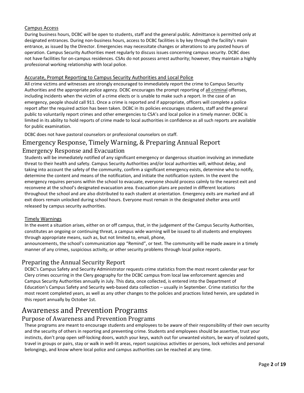#### Campus Access

During business hours, DCBC will be open to students, staff and the general public. Admittance is permitted only at designated entrances. During non-business hours, access to DCBC facilities is by key through the facility's main entrance, as issued by the Director. Emergencies may necessitate changes or alterations to any posted hours of operation. Campus Security Authorities meet regularly to discuss issues concerning campus security. DCBC does not have facilities for on-campus residences. CSAs do not possess arrest authority; however, they maintain a highly professional working relationship with local police.

#### Accurate, Prompt Reporting to Campus Security Authorities and Local Police

All crime victims and witnesses are strongly encouraged to immediately report the crime to Campus Security Authorities and the appropriate police agency. DCBC encourages the prompt reporting of all criminal offenses, including incidents when the victim of a crime elects or is unable to make such a report. In the case of an emergency, people should call 911. Once a crime is reported and if appropriate, officers will complete a police report after the required action has been taken. DCBC in its policies encourages students, staff and the general public to voluntarily report crimes and other emergencies to CSA's and local police in a timely manner. DCBC is limited in its ability to hold reports of crime made to local authorities in confidence as all such reports are available for public examination.

DCBC does not have pastoral counselors or professional counselors on staff.

### <span id="page-3-0"></span>Emergency Response, Timely Warning, & Preparing Annual Report

#### <span id="page-3-1"></span>Emergency Response and Evacuation

Students will be immediately notified of any significant emergency or dangerous situation involving an immediate threat to their health and safety. Campus Security Authorities and/or local authorities will, without delay, and taking into account the safety of the community, confirm a significant emergency exists, determine who to notify, determine the content and means of the notification, and initiate the notification system. In the event the emergency requires persons within the school to evacuate, everyone should process calmly to the nearest exit and reconvene at the school's designated evacuation area. Evacuation plans are posted in different locations throughout the school and are also distributed to each student at orientation. Emergency exits are marked and all exit doors remain unlocked during school hours. Everyone must remain in the designated shelter area until released by campus security authorities.

#### Timely Warnings

In the event a situation arises, either on or off campus, that, in the judgement of the Campus Security Authorities, constitutes an ongoing or continuing threat, a campus wide warning will be issued to all students and employees through appropriate means, such as, but not limited to, email, phone,

announcements, the school's communication app "Remind", or text. The community will be made aware in a timely manner of any crimes, suspicious activity, or other security problems through local police reports.

#### <span id="page-3-2"></span>Preparing the Annual Security Report

DCBC's Campus Safety and Security Administrator requests crime statistics from the most recent calendar year for Clery crimes occurring in the Clery geography for the DCBC campus from local law enforcement agencies and Campus Security Authorities annually in July. This data, once collected, is entered into the Department of Education's Campus Safety and Security web-based data collection – usually in September. Crime statistics for the most recent completed years, as well as any other changes to the policies and practices listed herein, are updated in this report annually by October 1st.

### <span id="page-3-3"></span>Awareness and Prevention Programs

#### <span id="page-3-4"></span>Purpose of Awareness and Prevention Programs

These programs are meant to encourage students and employees to be aware of their responsibility of their own security and the security of others in reporting and preventing crime. Students and employees should be assertive, trust your instincts, don't prop open self-locking doors, watch your keys, watch out for unwanted visitors, be wary of isolated spots, travel in groups or pairs, stay or walk in well-lit areas, report suspicious activities or persons, lock vehicles and personal belongings, and know where local police and campus authorities can be reached at any time.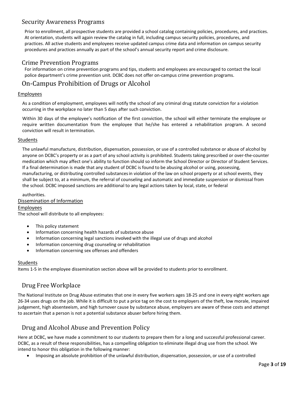### <span id="page-4-0"></span>Security Awareness Programs

Prior to enrollment, all prospective students are provided a school catalog containing policies, procedures, and practices. At orientation, students will again review the catalog in full, including campus security policies, procedures, and practices. All active students and employees receive updated campus crime data and information on campus security procedures and practices annually as part of the school's annual security report and crime disclosure.

#### <span id="page-4-1"></span>Crime Prevention Programs

For information on crime prevention programs and tips, students and employees are encouraged to contact the local police department's crime prevention unit. DCBC does not offer on-campus crime prevention programs.

#### <span id="page-4-2"></span>On-Campus Prohibition of Drugs or Alcohol

#### Employees

As a condition of employment, employees will notify the school of any criminal drug statute conviction for a violation occurring in the workplace no later than 5 days after such conviction.

Within 30 days of the employee's notification of the first conviction, the school will either terminate the employee or require written documentation from the employee that he/she has entered a rehabilitation program. A second conviction will result in termination.

#### Students

The unlawful manufacture, distribution, dispensation, possession, or use of a controlled substance or abuse of alcohol by anyone on DCBC's property or as a part of any school activity is prohibited. Students taking prescribed or over-the-counter medication which may affect one's ability to function should so inform the School Director or Director of Student Services. If a final determination is made that any student of DCBC is found to be abusing alcohol or using, possessing, manufacturing, or distributing controlled substancesin violation of the law on school property or at school events, they shall be subject to, at a minimum, the referral of counseling and automatic and immediate suspension or dismissal from the school. DCBC imposed sanctions are additional to any legal actions taken by local, state, or federal

#### authorities.

#### Dissemination of Information

Employees The school will distribute to all employees:

- This policy statement
- Information concerning health hazards of substance abuse
- Information concerning legal sanctions involved with the illegal use of drugs and alcohol
- Information concerning drug counseling or rehabilitation
- Information concerning sex offenses and offenders

#### Students

Items 1-5 in the employee dissemination section above will be provided to students prior to enrollment.

#### <span id="page-4-3"></span>Drug Free Workplace

The National Institute on Drug Abuse estimates that one in every five workers ages 18-25 and one in every eight workers age 26-34 uses drugs on the job. While it is difficult to put a price tag on the cost to employers of the theft, low morale, impaired judgement, high absenteeism, and high turnover cause by substance abuse, employers are aware of these costs and attempt to ascertain that a person is not a potential substance abuser before hiring them.

#### <span id="page-4-4"></span>Drug and Alcohol Abuse and Prevention Policy

Here at DCBC, we have made a commitment to our students to prepare them for a long and successful professional career. DCBC, as a result of these responsibilities, has a compelling obligation to eliminate illegal drug use from the school. We intend to honor this obligation in the following manner:

• Imposing an absolute prohibition of the unlawful distribution, dispensation, possession, or use of a controlled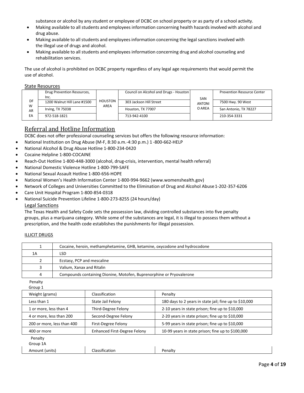substance or alcohol by any student or employee of DCBC on school property or as party of a school activity.

- Making available to all students and employees information concerning health hazards involved with alcohol and drug abuse.
- Making available to all students and employees information concerning the legal sanctions involved with the illegal use of drugs and alcohol.
- Making available to all students and employees information concerning drug and alcohol counseling and rehabilitation services.

The use of alcohol is prohibited on DCBC property regardless of any legal age requirements that would permit the use of alcohol.

State Resources

|          | Drug Prevention Resources,  |         | Council on Alcohol and Drugs - Houston |               | <b>Prevention Resource Center</b> |
|----------|-----------------------------|---------|----------------------------------------|---------------|-----------------------------------|
|          | Inc.                        |         |                                        | SAN           |                                   |
| DF       | 1200 Walnut Hill Lane #1500 | HOUSTON | 303 Jackson Hill Street                | <b>ANTONI</b> | 7500 Hwy. 90 West                 |
| W        | Irving, TX 75038            | AREA    | Houston, TX 77007                      | O AREA        | San Antonio, TX 78227             |
| AR<br>EA | 972-518-1821                |         | 713-942-4100                           |               | 210-354-3331                      |
|          |                             |         |                                        |               |                                   |

#### Referral and Hotline Information

DCBC does not offer professional counseling services but offers the following resource information:

- National Institution on Drug Abuse (M-F, 8:30 a.m.-4:30 p.m.) 1 -800-662-HELP
- National Alcohol & Drug Abuse Hotline 1-800-234-0420
- Cocaine Helpline 1-800-COCAINE
- Reach-Out Hotline 1-800-448-3000 (alcohol, drug-crisis, intervention, mental health referral)
- National Domestic Violence Hotline 1-800-799-SAFE
- National Sexual Assault Hotline 1-800-656-HOPE
- National Women's Health Information Center 1-800-994-9662 (www.womenshealth.gov)
- Network of Colleges and Universities Committed to the Elimination of Drug and Alcohol Abuse1-202-357-6206
- Care Unit Hospital Program 1-800-854-0318
- National Suicide Prevention Lifeline 1-800-273-8255 (24 hours/day)

#### Legal Sanctions

The Texas Health and Safety Code sets the possession law, dividing controlled substances into five penalty groups, plus a marijuana category. While some of the substances are legal, it is illegal to possess them without a prescription, and the health code establishes the punishments for illegal possession.

#### ILLICIT DRUGS

| 1                          | Cocaine, heroin, methamphetamine, GHB, ketamine, oxycodone and hydrocodone |                                                                      |                                                        |  |
|----------------------------|----------------------------------------------------------------------------|----------------------------------------------------------------------|--------------------------------------------------------|--|
| 1A                         | <b>LSD</b>                                                                 |                                                                      |                                                        |  |
| 2                          | Ecstasy, PCP and mescaline                                                 |                                                                      |                                                        |  |
| 3                          | Valium, Xanax and Ritalin                                                  |                                                                      |                                                        |  |
| 4                          |                                                                            | Compounds containing Dionine, Motofen, Buprenorphine or Pryovalerone |                                                        |  |
| Penalty<br>Group 1         |                                                                            |                                                                      |                                                        |  |
| Weight (grams)             |                                                                            | Classification                                                       | Penalty                                                |  |
| Less than 1                |                                                                            | State Jail Felony                                                    | 180 days to 2 years in state jail; fine up to \$10,000 |  |
| 1 or more, less than 4     |                                                                            | Third-Degree Felony                                                  | 2-10 years in state prison; fine up to \$10,000        |  |
| 4 or more, less than 200   |                                                                            | Second-Degree Felony                                                 | 2-20 years in state prison; fine up to \$10,000        |  |
| 200 or more, less than 400 |                                                                            | First-Degree Felony                                                  | 5-99 years in state prison; fine up to \$10,000        |  |
| 400 or more                |                                                                            | Enhanced First-Degree Felony                                         | 10-99 years in state prison; fine up to \$100,000      |  |
| Penalty<br>Group 1A        |                                                                            |                                                                      |                                                        |  |
| Amount (units)             |                                                                            | Classification                                                       | Penalty                                                |  |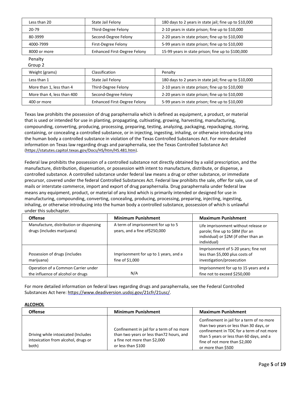| Less than 20 | State Jail Felony                   | 180 days to 2 years in state jail; fine up to \$10,000 |
|--------------|-------------------------------------|--------------------------------------------------------|
| 20-79        | Third-Degree Felony                 | 2-10 years in state prison; fine up to \$10,000        |
| 80-3999      | Second-Degree Felony                | 2-20 years in state prison; fine up to \$10,000        |
| 4000-7999    | First-Degree Felony                 | 5-99 years in state prison; fine up to \$10,000        |
| 8000 or more | <b>Enhanced First-Degree Felony</b> | 15-99 years in state prison; fine up to \$100,000      |

Penalty Group 2

| Weight (grams)             | Classification                      | Penalty                                                |
|----------------------------|-------------------------------------|--------------------------------------------------------|
| Less than 1                | State Jail Felony                   | 180 days to 2 years in state jail; fine up to \$10,000 |
| More than 1, less than 4   | Third-Degree Felony                 | 2-10 years in state prison; fine up to \$10,000        |
| More than 4, less than 400 | Second-Degree Felony                | 2-20 years in state prison; fine up to \$10,000        |
| 400 or more                | <b>Enhanced First-Degree Felony</b> | 5-99 years in state prison; fine up to \$10,000        |
|                            |                                     |                                                        |

Texas law prohibits the possession of drug paraphernalia which is defined as equipment, a product, or material that is used or intended for use in planting, propagating, cultivating, growing, harvesting, manufacturing, compounding, converting, producing, processing, preparing, testing, analyzing, packaging, repackaging, storing, containing, or concealing a controlled substance, or in injecting, ingesting, inhaling, or otherwise introducing into the human body a controlled substance in violation of the Texas Controlled Substances Act. For more detailed information on Texas law regarding drugs and paraphernalia, see the Texas Controlled Substance Act (https://statutes.capitol.texas.gov/Docs/HS/htm/HS.481.htm).

Federal law prohibits the possession of a controlled substance not directly obtained by a valid prescription, and the manufacture, distribution, dispensation, or possession with intent to manufacture, distribute, or dispense, a controlled substance. A controlled substance under federal law means a drug or other substance, or immediate precursor, covered under the federal Controlled Substances Act. Federal law prohibits the sale, offer for sale, use of mails or interstate commerce, import and export of drug paraphernalia. Drug paraphernalia under federal law means any equipment, product, or material of any kind which is primarily intended or designed for use in manufacturing, compounding, converting, concealing, producing, processing, preparing, injecting, ingesting, inhaling, or otherwise introducing into the human body a controlled substance, possession of which is unlawful under this subchapter.

| <b>Offense</b>                                                           | <b>Minimum Punishment</b>                                            | <b>Maximum Punishment</b>                                                                                                       |
|--------------------------------------------------------------------------|----------------------------------------------------------------------|---------------------------------------------------------------------------------------------------------------------------------|
| Manufacture, distribution or dispensing<br>drugs (includes marijuana)    | A term of imprisonment for up to 5<br>years, and a fine of \$250,000 | Life imprisonment without release or<br>parole; fine up to \$8M (for an<br>individual) or \$2M (if other than an<br>individual) |
| Possession of drugs (includes<br>marijuana)                              | Imprisonment for up to 1 years, and a<br>fine of \$1,000             | Imprisonment of 5-20 years; fine not<br>less than \$5,000 plus costs of<br>investigation/prosecution                            |
| Operation of a Common Carrier under<br>the influence of alcohol or drugs | N/A                                                                  | Imprisonment for up to 15 years and a<br>fine not to exceed \$250,000                                                           |

For more detailed information on federal laws regarding drugs and paraphernalia, see the Federal Controlled Substances Act here: https:/[/www.deadiversion.usdoj.gov/21cfr/21usc/.](http://www.deadiversion.usdoj.gov/21cfr/21usc/)

#### **ALCOHOL**

| <b>Offense</b>                                                                      | <b>Minimum Punishment</b>                                                                                                                   | <b>Maximum Punishment</b>                                                                                                                                                                                                            |
|-------------------------------------------------------------------------------------|---------------------------------------------------------------------------------------------------------------------------------------------|--------------------------------------------------------------------------------------------------------------------------------------------------------------------------------------------------------------------------------------|
| Driving while intoxicated (Includes<br>intoxication from alcohol, drugs or<br>both) | Confinement in jail for a term of no more<br>than two years or less than72 hours, and<br>a fine not more than \$2,000<br>or less than \$100 | Confinement in jail for a term of no more<br>than two years or less than 30 days, or<br>confinement in TDC for a term of not more<br>than 5 years or less than 60 days, and a<br>fine of not more than \$2,000<br>or more than \$500 |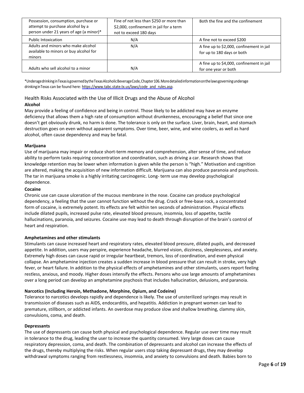| Possession, consumption, purchase or<br>attempt to purchase alcohol by a<br>person under 21 years of age (a minor)* | Fine of not less than \$250 or more than<br>\$2,000, confinement in jail for a term<br>not to exceed 180 days | Both the fine and the confinement                                       |
|---------------------------------------------------------------------------------------------------------------------|---------------------------------------------------------------------------------------------------------------|-------------------------------------------------------------------------|
| <b>Public Intoxication</b>                                                                                          | N/A                                                                                                           | A fine not to exceed \$200                                              |
| Adults and minors who make alcohol<br>available to minors or buy alcohol for<br>minors                              | N/A                                                                                                           | A fine up to \$2,000, confinement in jail<br>for up to 180 days or both |
| Adults who sell alcohol to a minor                                                                                  | N/A                                                                                                           | A fine up to \$4,000, confinement in jail<br>for one year or both       |

\*UnderagedrinkinginTexasisgovernedbytheTexasAlcoholicBeverageCode,Chapter106.Moredetailedinformationonthelawsgoverningunderage drinking in Texas can be found here: http[s://www.tabc.state.tx.us/laws/code\\_and\\_rules.asp.](http://www.tabc.state.tx.us/laws/code_and_rules.asp)

#### Health Risks Associated with the Use of Illicit Drugs and the Abuse of Alcohol

#### **Alcohol**

May provide a feeling of confidence and being in control. Those likely to be addicted may have an enzyme deficiency that allows them a high rate of consumption without drunkenness, encouraging a belief that since one doesn't get obviously drunk, no harm is done. The tolerance is only on the surface. Liver, brain, heart, and stomach destruction goes on even without apparent symptoms. Over time, beer, wine, and wine coolers, as well as hard alcohol, often cause dependency and may be fatal.

#### **Marijuana**

Use of marijuana may impair or reduce short-term memory and comprehension, alter sense of time, and reduce ability to perform tasks requiring concentration and coordination, such as driving a car. Research shows that knowledge retention may be lower when information is given while the person is "high." Motivation and cognition are altered, making the acquisition of new information difficult. Marijuana can also produce paranoia and psychosis. The tar in marijuana smoke is a highly irritating carcinogenic. Long- term use may develop psychological dependence.

#### **Cocaine**

Chronic use can cause ulceration of the mucous membrane in the nose. Cocaine can produce psychological dependency, a feeling that the user cannot function without the drug. Crack or free-base rock, a concentrated form of cocaine, is extremely potent. Its effects are felt within ten seconds of administration. Physical effects include dilated pupils, increased pulse rate, elevated blood pressure, insomnia, loss of appetite, tactile hallucinations, paranoia, and seizures. Cocaine use may lead to death through disruption of the brain's control of heart and respiration.

#### **Amphetamines and other stimulants**

Stimulants can cause increased heart and respiratory rates, elevated blood pressure, dilated pupils, and decreased appetite. In addition, users may perspire, experience headache, blurred vision, dizziness, sleeplessness, and anxiety. Extremely high doses can cause rapid or irregular heartbeat, tremors, loss of coordination, and even physical collapse. An amphetamine injection creates a sudden increase in blood pressure that can result in stroke, very high fever, or heart failure. In addition to the physical effects of amphetamines and other stimulants, users report feeling restless, anxious, and moody. Higher doses intensify the effects. Persons who use large amounts of amphetamines over a long period can develop an amphetamine psychosis that includes hallucination, delusions, and paranoia.

#### **Narcotics (Including Heroin, Methadone, Morphine, Opium, and Codeine)**

Tolerance to narcotics develops rapidly and dependence is likely. The use of unsterilized syringes may result in transmission of diseases such as AIDS, endocarditis, and hepatitis. Addiction in pregnant women can lead to premature, stillborn, or addicted infants. An overdose may produce slow and shallow breathing, clammy skin, convulsions, coma, and death.

#### **Depressants**

The use of depressants can cause both physical and psychological dependence. Regular use over time may result in tolerance to the drug, leading the user to increase the quantity consumed. Very large doses can cause respiratory depression, coma, and death. The combination of depressants and alcohol can increase the effects of the drugs, thereby multiplying the risks. When regular users stop taking depressant drugs, they may develop withdrawal symptoms ranging from restlessness, insomnia, and anxiety to convulsions and death. Babies born to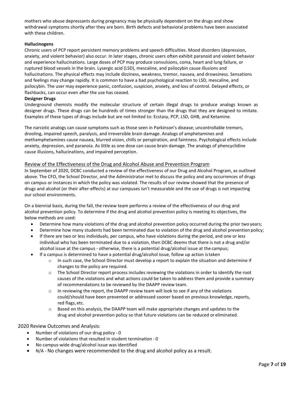mothers who abuse depressants during pregnancy may be physically dependent on the drugs and show withdrawal symptoms shortly after they are born. Birth defects and behavioral problems have been associated with these children.

#### **Hallucinogens**

Chronic users of PCP report persistent memory problems and speech difficulties. Mood disorders (depression, anxiety, and violent behavior) also occur. In later stages, chronic users often exhibit paranoid and violent behavior and experience hallucinations. Large doses of PCP may produce convulsions, coma, heart and lung failure, or ruptured blood vessels in the brain. Lysergic acid (LSD), mescaline, and psilocybin cause illusions and hallucinations. The physical effects may include dizziness, weakness, tremor, nausea, and drowsiness. Sensations and feelings may change rapidly. It is common to have a bad psychological reaction to LSD, mescaline, and psilocybin. The user may experience panic, confusion, suspicion, anxiety, and loss of control. Delayed effects, or flashbacks, can occur even after the use has ceased.

#### **Designer Drugs**

Underground chemists modify the molecular structure of certain illegal drugs to produce analogs known as designer drugs. These drugs can be hundreds of times stronger than the drugs that they are designed to imitate. Examples of these types of drugs include but are not limited to: Ecstasy, PCP, LSD, GHB, and Ketamine.

The narcotic analogs can cause symptoms such as those seen in Parkinson's disease; uncontrollable tremors, drooling, impaired speech, paralysis, and irreversible brain damage. Analogs of amphetamines and methamphetamines cause nausea, blurred vision, chills or perspiration, and faintness. Psychological effects include anxiety, depression, and paranoia. As little as one dose can cause brain damage. The analogs of phencyclidine cause illusions, hallucinations, and impaired perception.

#### Review of the Effectiveness of the Drug and Alcohol Abuse and Prevention Program

In September of 2020, DCBC conducted a review of the effectiveness of our Drug and Alcohol Program, as outlined above. The CFO, the School Director, and the Administrator met to discuss the policy and any occurrences of drugs on campus or instances in which the policy was violated. The results of our review showed that the presence of drugs and alcohol (or their after-effects) at our campuses isn't measurable and the use of drugs is not impacting our school environments.

On a biennial basis, during the fall, the review team performs a review of the effectiveness of our drug and alcohol prevention policy. To determine if the drug and alcohol prevention policy is meeting its objectives, the below methods are used:

- Determine how many violations of the drug and alcohol prevention policy occurred during the prior two years;
- Determine how many students had been terminated due to violation of the drug and alcohol prevention policy;
- If there are two or less individuals, per campus, who have violations during the period, and one or less individual who has been terminated due to a violation, then DCBC deems that there is not a drug and/or alcohol issue at the campus - otherwise, there is a potential drug/alcohol issue at the campus;
- If a campus is determined to have a potential drug/alcohol issue, follow up action istaken
	- $\circ$  In such case, the School Director must develop a report to explain the situation and determine if changes to the policy are required.
	- o The School Director report process includes reviewing the violations in order to identify the root causes of the violations and what actions could be taken to address them and provide a summary of recommendations to be reviewed by the DAAPP review team.
	- $\circ$  In reviewing the report, the DAAPP review team will look to see if any of the violations could/should have been prevented or addressed sooner based on previous knowledge, reports, red flags, etc.
	- $\circ$  Based on this analysis, the DAAPP team will make appropriate changes and updates to the drug and alcohol prevention policy so that future violations can be reduced or eliminated.

#### 2020 Review Outcomes and Analysis:

- Number of violations of our drug policy 0
- Number of violations that resulted in student termination 0
- No campus-wide drug/alcohol issue was identified
- N/A No changes were recommended to the drug and alcohol policy as a result.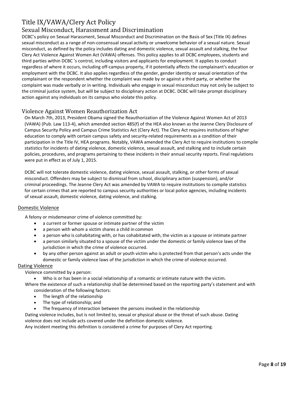### <span id="page-9-0"></span>Title IX/VAWA/Clery Act Policy

#### <span id="page-9-1"></span>Sexual Misconduct, Harassment and Discrimination

DCBC's policy on Sexual Harassment, Sexual Misconduct and Discrimination on the Basis of Sex (Title IX) defines sexual misconduct as a range of non-consensual sexual activity or unwelcome behavior of a sexual nature. Sexual misconduct, as defined by the policy includes dating and domestic violence, sexual assault and stalking, the four Clery Act Violence Against Women Act (VAWA) offenses. This policy applies to all DCBC employees, students and third parties within DCBC 's control, including visitors and applicants for employment. It applies to conduct regardless of where it occurs, including off-campus property, if it potentially affects the complainant's education or employment with the DCBC. It also applies regardless of the gender, gender identity or sexual orientation of the complainant or the respondent whether the complaint was made by or against a third party, or whether the complaint was made verbally or in writing. Individuals who engage in sexual misconduct may not only be subject to the criminal justice system, but will be subject to disciplinary action at DCBC. DCBC will take prompt disciplinary action against any individuals on its campus who violate this policy.

#### <span id="page-9-2"></span>Violence Against Women Reauthorization Act

On March 7th, 2013, President Obama signed the Reauthorization of the Violence Against Women Act of 2013 (VAWA) (Pub. Law 113-4), which amended section 485(f) of the HEA also known as the Jeanne Clery Disclosure of Campus Security Policy and Campus Crime Statistics Act (Clery Act). The Clery Act requires institutions of higher education to comply with certain campus safety and security-related requirements as a condition of their participation in the Title IV, HEA programs. Notably, VAWA amended the Clery Act to require institutions to compile statistics for incidents of dating violence, domestic violence, sexual assault, and stalking and to include certain policies, procedures, and programs pertaining to these incidents in their annual security reports. Final regulations were put in effect as of July 1, 2015.

DCBC will not tolerate domestic violence, dating violence, sexual assault, stalking, or other forms of sexual misconduct. Offenders may be subject to dismissal from school, disciplinary action (suspension), and/or criminal proceedings. The Jeanne Clery Act was amended by VAWA to require institutions to compile statistics for certain crimes that are reported to campus security authorities or local police agencies, including incidents of sexual assault, domestic violence, dating violence, and stalking.

#### Domestic Violence

A felony or misdemeanor crime of violence committed by:

- a current or former spouse or intimate partner of the victim
- a person with whom a victim shares a child in common
- a person who is cohabitating with, or has cohabitated with, the victim as a spouse or intimate partner
- a person similarly situated to a spouse of the victim under the domestic or family violence laws of the jurisdiction in which the crime of violence occurred.
- by any other person against an adult or youth victim who is protected from that person's acts under the domestic or family violence laws of the jurisdiction in which the crime of violence occurred.

#### Dating Violence

Violence committed by a person:

- Who is or has been in a social relationship of a romantic or intimate nature with the victim.
- Where the existence of such a relationship shall be determined based on the reporting party's statement and with consideration of the following factors:
	- The length of the relationship
	- The type of relationship; and
	- The frequency of interaction between the persons involved in the relationship

Dating violence includes, but is not limited to, sexual or physical abuse or the threat of such abuse. Dating violence does not include acts covered under the definition domestic violence.

Any incident meeting this definition is considered a crime for purposes of Clery Act reporting.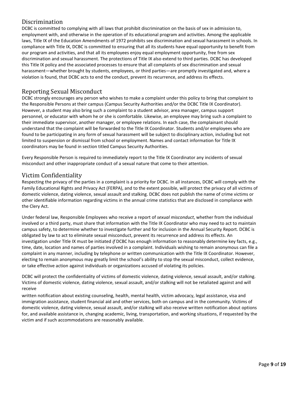### <span id="page-10-0"></span>Discrimination

DCBC is committed to complying with all laws that prohibit discrimination on the basis of sex in admission to, employment with, and otherwise in the operation of its educational program and activities. Among the applicable laws, Title IX of the Education Amendments of 1972 prohibits sex discrimination and sexual harassment in schools. In compliance with Title IX, DCBC is committed to ensuring that all its students have equal opportunity to benefit from our program and activities, and that all its employees enjoy equal employment opportunity, free from sex discrimination and sexual harassment. The protections of Title IX also extend to third parties. DCBC has developed this Title IX policy and the associated processes to ensure that all complaints of sex discrimination and sexual harassment—whether brought by students, employees, or third parties—are promptly investigated and, where a violation is found, that DCBC acts to end the conduct, prevent its recurrence, and address its effects.

#### <span id="page-10-1"></span>Reporting Sexual Misconduct

DCBC strongly encourages any person who wishes to make a complaint under this policy to bring that complaint to the Responsible Persons at their campus (Campus Security Authorities and/or the DCBC Title IX Coordinator). However, a student may also bring such a complaint to a student advisor, area manager, campus support personnel, or educator with whom he or she is comfortable. Likewise, an employee may bring such a complaint to their immediate supervisor, another manager, or employee relations. In each case, the complainant should understand that the complaint will be forwarded to the Title IX Coordinator. Students and/or employees who are found to be participating in any form of sexual harassment will be subject to disciplinary action, including but not limited to suspension or dismissal from school or employment. Names and contact information for Title IX coordinators may be found in section titled Campus Security Authorities.

Every Responsible Person is required to immediately report to the Title IX Coordinator any incidents of sexual misconduct and other inappropriate conduct of a sexual nature that come to their attention.

#### <span id="page-10-2"></span>Victim Confidentiality

Respecting the privacy of the parties in a complaint is a priority for DCBC. In all instances, DCBC will comply with the Family Educational Rights and Privacy Act (FERPA), and to the extent possible, will protect the privacy of all victims of domestic violence, dating violence, sexual assault and stalking. DCBC does not publish the name of crime victims or other identifiable information regarding victims in the annual crime statistics that are disclosed in compliance with the Clery Act.

Under federal law, Responsible Employees who receive a report of *sexual misconduct*, whether from the individual involved or a third party, must share that information with the Title IX Coordinator who may need to act to maintain campus safety, to determine whether to investigate further and for inclusion in the Annual Security Report. DCBC is obligated by law to act to eliminate sexual misconduct, prevent its recurrence and address its effects. An investigation under Title IX must be initiated *if* DCBC has enough information to reasonably determine key facts, e.g., time, date, location and names of parties involved in a complaint. Individuals wishing to remain anonymous can file a complaint in any manner, including by telephone or written communication with the Title IX Coordinator. However, electing to remain anonymous may greatly limit the school's ability to stop the sexual misconduct, collect evidence, or take effective action against individuals or organizations accused of violating its policies.

DCBC will protect the confidentiality of victims of domestic violence, dating violence, sexual assault, and/or stalking. Victims of domestic violence, dating violence, sexual assault, and/or stalking will not be retaliated against and will receive

written notification about existing counseling, health, mental health, victim advocacy, legal assistance, visa and immigration assistance, student financial aid and other services, both on campus and in the community. Victims of domestic violence, dating violence, sexual assault, and/or stalking will also receive written notification about options for, and available assistance in, changing academic, living, transportation, and working situations, if requested by the victim and if such accommodations are reasonably available.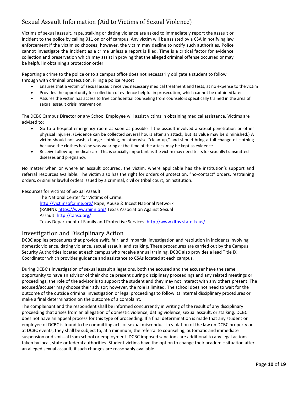### <span id="page-11-0"></span>Sexual Assault Information (Aid to Victims of Sexual Violence)

Victims of sexual assault, rape, stalking or dating violence are asked to immediately report the assault or incident to the police by calling 911 on or off campus. Any victim will be assisted by a CSA in notifying law enforcement if the victim so chooses; however, the victim may decline to notify such authorities. Police cannot investigate the incident as a crime unless a report is filed. Time is a critical factor for evidence collection and preservation which may assist in proving that the alleged criminal offense occurred or may be helpful in obtaining a protection order.

Reporting a crime to the police or to a campus office does not necessarily obligate a student to follow through with criminal prosecution. Filing a police report:

- Ensures that a victim of sexual assault receives necessary medical treatment and tests, at no expense to the victim
- Provides the opportunity for collection of evidence helpful in prosecution, which cannot be obtained later
- Assures the victim has access to free confidential counseling from counselors specifically trained in the area of sexual assault crisis intervention.

The DCBC Campus Director or any School Employee will assist victims in obtaining medical assistance. Victims are advised to:

- Go to a hospital emergency room as soon as possible if the assault involved a sexual penetration or other physical injuries. (Evidence can be collected several hours after an attack, but its value may be diminished.) A victim should not wash, change clothing, or otherwise "clean up," and should bring a full change of clothing because the clothes he/she was wearing at the time of the attack may be kept as evidence.
- Receive follow-up medical care. This is crucially important as the victim may need tests for sexually transmitted diseases and pregnancy.

No matter when or where an assault occurred, the victim, where applicable has the institution's support and referral resources available. The victim also has the right for orders of protection, "no-contact" orders, restraining orders, orsimilar lawful orders issued by a criminal, civil or tribal court, orinstitution.

#### Resources for Victims of Sexual Assault

The National Center for Victims of Crime: <http://victimsofcrime.org/> Rape, Abuse & Incest National Network (RAINN)[: https://www.rainn.org/](http://www.rainn.org/) Texas Association Against Sexual Assault[: http://taasa.org/](http://taasa.org/) Texas Department of Family and Protective Services[: http://www.dfps.state.tx.us/](http://www.dfps.state.tx.us/)

#### <span id="page-11-1"></span>Investigation and Disciplinary Action

DCBC applies procedures that provide swift, fair, and impartial investigation and resolution in incidents involving domestic violence, dating violence, sexual assault, and stalking. These procedures are carried out by the Campus Security Authorities located at each campus who receive annual training. DCBC also provides a lead Title IX Coordinator which provides guidance and assistance to CSAs located at each campus.

During DCBC's investigation of sexual assault allegations, both the accused and the accuser have the same opportunity to have an advisor of their choice present during disciplinary proceedings and any related meetings or proceedings; the role of the advisor is to support the student and they may not interact with any others present. The accused/accuser may choose their advisor; however, the role is limited. The school does not need to wait for the outcome of the outside criminal investigation or legal proceedings to follow its internal disciplinary procedures or make a final determination on the outcome of a complaint.

The complainant and the respondent shall be informed concurrently in writing of the result of any disciplinary proceeding that arises from an allegation of domestic violence, dating violence, sexual assault, or stalking. DCBC does not have an appeal process for this type of proceeding. If a final determination is made that any student or employee of DCBC is found to be committing acts of sexual misconduct in violation of the law on DCBC property or at DCBC events, they shall be subject to, at a minimum, the referral to counseling, automatic and immediate suspension or dismissal from school or employment. DCBC imposed sanctions are additional to any legal actions taken by local, state or federal authorities. Student victims have the option to change their academic situation after an alleged sexual assault, if such changes are reasonably available.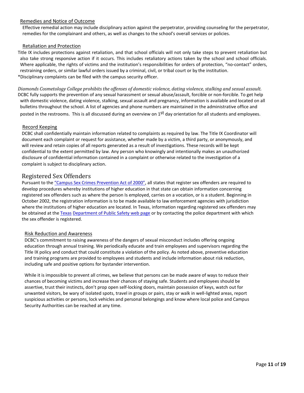#### Remedies and Notice of Outcome

Effective remedial action may include disciplinary action against the perpetrator, providing counseling for the perpetrator, remedies for the complainant and others, as well as changes to the school's overall services or policies.

#### Retaliation and Protection

Title IX includes protections against retaliation, and that school officials will not only take steps to prevent retaliation but also take strong responsive action if it occurs. This includes retaliatory actions taken by the school and school officials. Where applicable, the rights of victims and the institution's responsibilities for orders of protection, "no-contact" orders, restraining orders, or similar lawful orders issued by a criminal, civil, or tribal court or by the institution. \*Disciplinary complaints can be filed with the campus security officer.

*Diamonds Cosmetology College prohibits the offenses of domestic violence, dating violence, stalking and sexual assault.* DCBC fully supports the prevention of any sexual harassment or sexual abuse/assault, forcible or non-forcible. To get help with domestic violence, dating violence, stalking, sexual assault and pregnancy, information is available and located on all bulletins throughout the school. A list of agencies and phone numbers are maintained in the administrative office and posted in the restrooms. This is all discussed during an overview on 1<sup>st</sup> day orientation for all students and employees.

#### Record Keeping

DCBC shall confidentially maintain information related to complaints as required by law. The Title IX Coordinator will document each complaint or request for assistance, whether made by a victim, a third party, or anonymously, and will review and retain copies of all reports generated as a result of investigations. These records will be kept confidential to the extent permitted by law. Any person who knowingly and intentionally makes an unauthorized disclosure of confidential information contained in a complaint or otherwise related to the investigation of a complaint is subject to disciplinary action.

#### <span id="page-12-0"></span>Registered Sex Offenders

Pursuant to the "Campus Sex Crimes Prevention Act of 2000", all states that register sex offenders are required to develop procedures whereby institutions of higher education in that state can obtain information concerning registered sex offenders such as where the person Is employed, carries on a vocation, or is a student. Beginning in October 2002, the registration information is to be made available to law enforcement agencies with jurisdiction where the institutions of higher education are located. In Texas, information regarding registered sex offenders may be obtained at the Texas Department of Public Safety web page or by contacting the police department with which the sex offender is registered.

#### Risk Reduction and Awareness

DCBC's commitment to raising awareness of the dangers of sexual misconduct includes offering ongoing education through annual training. We periodically educate and train employees and supervisors regarding the Title IX policy and conduct that could constitute a violation of the policy. As noted above, preventive education and training programs are provided to employees and students and include information about risk reduction, including safe and positive options for bystander intervention.

While it is impossible to prevent all crimes, we believe that persons can be made aware of ways to reduce their chances of becoming victims and increase their chances of staying safe. Students and employees should be assertive, trust their instincts, don't prop open self-locking doors, maintain possession of keys, watch out for unwanted visitors, be wary of isolated spots, travel in groups or pairs, stay or walk in well-lighted areas, report suspicious activities or persons, lock vehicles and personal belongings and know where local police and Campus Security Authorities can be reached at any time.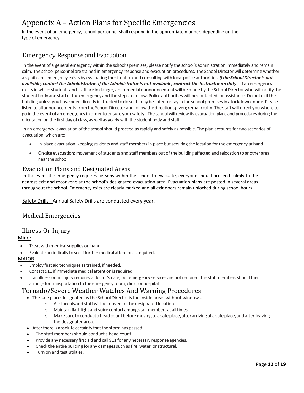### <span id="page-13-0"></span>Appendix A – Action Plans for Specific Emergencies

In the event of an emergency, school personnel shall respond in the appropriate manner, depending on the type of emergency.

### <span id="page-13-1"></span>Emergency Response and Evacuation

In the event of a general emergency within the school's premises, please notify the school's administration immediately and remain calm. The school personnel are trained in emergency response and evacuation procedures. The School Director will determine whether a significant emergency exists by evaluating the situation and consulting with local police authorities. If the School Director is not *available, contact the Administrator. If the Administrator Is not available, contract the Instructor on duty.* **If an emergency** exists in which students and staff are in danger, an immediate announcement will be made by the School Director who will notify the student body and staff of the emergency and the steps to follow. Police authorities will be contacted for assistance. Do not exit the building unless you have been directly instructed to do so. It may be safer to stay in the school premises in a lockdown mode. Please listen to all announcements from the School Director and follow the directions given; remain calm. The staff will direct you where to go in the event of an emergency in order to ensure your safety. The school will review its evacuation plans and procedures during the orientation on the first day of class, as well as yearly with the student body and staff.

In an emergency, evacuation of the school should proceed as rapidly and safely as possible. The plan accounts for two scenarios of evacuation, which are:

- In-place evacuation: keeping students and staff members in place but securing the location for the emergency athand
- On-site evacuation: movement of students and staff members out of the building affected and relocation to another area nearthe school.

#### <span id="page-13-2"></span>Evacuation Plans and Designated Areas

In the event the emergency requires persons within the school to evacuate, everyone should proceed calmly to the nearest exit and reconvene at the school's designated evacuation area. Evacuation plans are posted in several areas throughout the school. Emergency exits are clearly marked and all exit doors remain unlocked during school hours.

Safety Drills - Annual Safety Drills are conducted every year.

#### <span id="page-13-3"></span>Medical Emergencies

#### <span id="page-13-4"></span>Illness Or Injury

#### Minor

- Treat with medical supplies on hand.
- Evaluate periodically to see if further medical attention is required.

#### MAJOR

- Employ first aid techniques as trained, if needed.
- Contact 911 if immediate medical attention is required.
- If an illness or an injury requires a doctor's care, but emergency services are not required, the staff members should then arrange for transportation to the emergency room, clinic, or hospital.

#### <span id="page-13-5"></span>Tornado/Severe Weather Watches And Warning Procedures

- The safe place designated by the School Director is the inside areas without windows.
	- o Allstudents and staff willbemoved to thedesignated location.
	- o Maintain flashlight and voice contact among staff members at alltimes.
	- o Makesuretoconductaheadcountbeforemovingtoa safeplace,afterarrivingata safeplace,andafter leaving the designatedarea.
- $\bullet$  After there is absolute certainty that the storm has passed:
- The staff members should conduct a head count.
- Provide any necessary first aid and call 911 for any necessary response agencies.
- Check the entire building for any damages such as fire, water, or structural.
- Turn on and test utilities.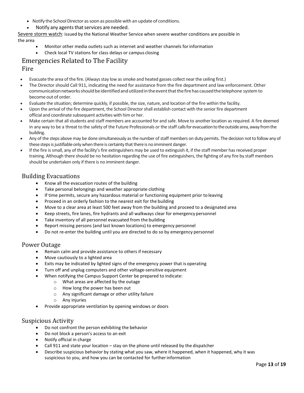- Notify the School Director as soon as possible with an update of conditions.
- Notify any agents that services are needed.

Severe storm watch: issued by the National Weather Service when severe weather conditions are possible in the area

- Monitor other media outlets such as internet and weather channels forinformation
- Check local TV stations for class delays or campus closing

### <span id="page-14-0"></span>Emergencies Related to The Facility

#### <span id="page-14-1"></span>Fire

- Evacuate the area of the fire. (Always stay low as smoke and heated gasses collect near the ceiling first.)
- The Director should Call 911, indicating the need for assistance from the fire department and law enforcement. Other communication networks should be identified and utilized in the event that the fire has caused the telephone system to become out of order.
- Evaluate the situation; determine quickly, if possible, the size, nature, and location of the fire within the facility.
- Upon the arrival of the fire department, the School Director shall establish contact with the senior fire department official and coordinate subsequent activities with himor her.
- Make certain that all students and staff members are accounted for and safe. Move to another location as required. A fire deemed in any way to be a threat to the safety of the Future Professionals or the staff calls for evacuation to the outside area, away from the building.
- Any of the steps above may be done simultaneously as the number of staff members on duty permits. The decision not to follow any of these steps is justifiable only when there is certainty that there is no imminent danger.
- If the fire is small, any of the facility's fire extinguishers may be used to extinguish it, if the staff member has received proper training. Although there should be no hesitation regarding the use of fire extinguishers, the fighting of any fire by staff members should be undertaken only if there is no imminent danger.

- <span id="page-14-2"></span>Building Evacuations<br>• Know all the evacuation routes of the building
	- Take personal belongings and weather appropriate clothing
	- If time permits, secure any hazardous material or functioning equipment prior to leaving
	- Proceed in an orderly fashion to the nearest exit for the building
	- Move to a clear area at least 500 feet away from the building and proceed to a designated area
	- Keep streets, fire lanes, fire hydrants and all walkways clear for emergency personnel
	- Take inventory of all personnel evacuated from the building
	- Report missing persons (and last known locations) to emergency personnel
	- Do not re-enter the building until you are directed to do so by emergency personnel

#### <span id="page-14-3"></span>Power Outage

- Remain calm and provide assistance to others if necessary
- Move cautiously to a lighted area
- Exits may be indicated by lighted signs of the emergency power that is operating
- Turn off and unplug computers and other voltage-sensitive equipment
- When notifying the Campus Support Center be prepared to indicate:
	- o What areas are affected by the outage
	- o How long the power has been out
	- o Any significant damage or other utility failure
	- o Any injuries
- Provide appropriate ventilation by opening windows or doors

- <span id="page-14-4"></span>Suspicious Activity<br>• Do not confront the person exhibiting the behavior
	- Do not block a person's access to an exit
	- Notify official in charge
	- Call 911 and state your location stay on the phone until released by the dispatcher
	- Describe suspicious behavior by stating what you saw, where it happened, when it happened, why it was suspicious to you, and how you can be contacted for further information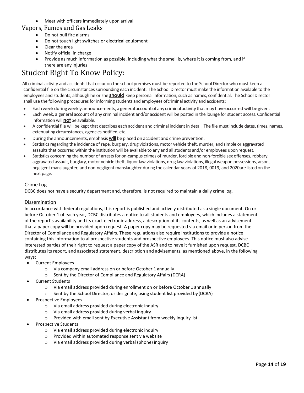• Meet with officers immediately upon arrival

# <span id="page-15-0"></span>Vapors, Fumes and Gas Leaks • Do not pull fire alarms

- 
- Do not touch light switches or electrical equipment
- Clear the area
- Notify official in charge
- Provide as much information as possible, including what the smell is, where it is coming from, and if there are any injuries

### <span id="page-15-1"></span>Student Right To Know Policy:

All criminal activity and accidents that occur on the school premises must be reported to the School Director who must keep a confidential file on the circumstances surrounding each incident. The School Director must make the information available to the employees and students, although he or she **should** keep personal information, such as names, confidential. The School Director shall use the following procedures for informing students and employees ofcriminal activity and accidents:

- Each week during weekly announcements, a general account of any criminal activity that may have occurred will begiven.
- Each week, a general account of any criminal incident and/or accident will be posted in the lounge for student access. Confidential information will **not** be available.
- A confidential file will be kept that describes each accident and criminal incident in detail. The file must include dates, times, names, extenuating circumstances, agencies notified, etc.
- During the announcements, emphasis **will** be placed on accident and crime prevention.
- Statistics regarding the incidence of rape, burglary, drug violations, motor vehicle theft, murder, and simple or aggravated assaults that occurred within the institution will be available to any and all students and/or employees uponrequest.
- Statistics concerning the number of arrests for on-campus crimes of murder, forcible and non-forcible sex offenses, robbery, aggravated assault, burglary, motor vehicle theft, liquor law violations, drug law violations, illegal weapon possessions, arson, negligent manslaughter, and non-negligent manslaughter during the calendar years of 2018, 0019, and 2020are listed on the next page.

#### Crime Log

DCBC does not have a security department and, therefore, is not required to maintain a daily crime log.

#### Dissemination

In accordance with federal regulations, this report is published and actively distributed as a single document. On or before October 1 of each year, DCBC distributes a notice to all students and employees, which includes a statement of the report's availability and its exact electronic address, a description of its contents, as well as an advisement that a paper copy will be provided upon request. A paper copy may be requested via email or in person from the Director of Compliance and Regulatory Affairs. These regulations also require institutions to provide a notice containing this information to al prospective students and prospective employees. This notice must also advise interested parties of their right to request a paper copy of the ASR and to have it furnished upon request. DCBC distributes its report, and associated statement, description and advisements, as mentioned above, in the following ways:

- Current Employees
	- o Via company email address on or before October 1 annually
	- o Sent by the Director of Compliance and Regulatory Affairs (DCRA)
- **Current Students** 
	- o Via email address provided during enrollment on or before October 1 annually
	- $\circ$  Sent by the School Director, or designate, using student list provided by (DCRA)
- Prospective Employees
	- o Via email address provided during electronic inquiry
	- o Via email address provided during verbal inquiry
	- o Provided with email sent by Executive Assistant from weekly inquiry list
- Prospective Students
	- o Via email address provided during electronic inquiry
	- o Provided within automated response sent via website
	- o Via email address provided during verbal (phone) inquiry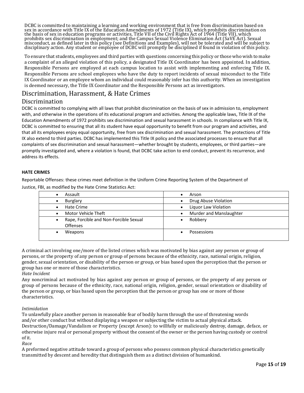DCBC is committed to maintaining a learning and working environment that is free from discrimination based on<br>sex in accordance with Title IX of the Education Amendments of 1972 (Title IX), which prohibits discrimination o misconduct, as defined later in this policy (see Definitions and Examples), will not be tolerated and will be subject to disciplinary action. Any student or employee of DCBC will promptly be disciplined if found in violati

To ensure that students, employees and third parties with questions concerning this policy or those who wish to make a complaint of an alleged violation of this policy, a designated Title IX Coordinator has been appointed. In addition, Responsible Persons are employed at each campus location to assist with implementing and enforcing Title IX. Responsible Persons are school employees who have the duty to report incidents of sexual misconduct to the Title IX Coordinator or an employee whom an individual could reasonably infer has this authority. When an investigation is deemed necessary, the Title IX Coordinator and the Responsible Persons act as investigators.

### <span id="page-16-0"></span>Discrimination, Harassment, & Hate Crimes

#### <span id="page-16-1"></span>Discrimination

DCBC is committed to complying with all laws that prohibit discrimination on the basis of sex in admission to, employment with, and otherwise in the operations of its educational program and activities. Among the applicable laws, Title IX of the Education Amendments of 1972 prohibits sex discrimination and sexual harassment in schools. In compliance with Title IX, DCBC is committed to ensuring that all its student have equal opportunity to benefit from our program and activities, and that all its employees enjoy equal opportunity, free from sex discrimination and sexual harassment. The protections of Title IX also extend to third parties. DCBC has implemented this Title IX policy and the associated processes to ensure that all complaints of sex discrimination and sexual harassment—whether brought by students, employees, or third parties—are promptly investigated and, where a violation is found, that DCBC take action to end conduct, prevent its recurrence, and address its effects.

#### **HATE CRIMES**

Reportable Offenses: these crimes meet definition in the Uniform Crime Reporting System of the Department of Justice, FBI, as modified by the Hate Crime Statistics Act:

| Assault                                             | Arson                   |
|-----------------------------------------------------|-------------------------|
| <b>Burglary</b>                                     | Drug Abuse Violation    |
| Hate Crime                                          | Liquor Law Violation    |
| Motor Vehicle Theft                                 | Murder and Manslaughter |
| Rape, Forcible and Non-Forcible Sexual<br>$\bullet$ | Robbery                 |
| <b>Offenses</b>                                     |                         |
| Weapons                                             | Possessions             |
|                                                     |                         |

A criminal act involving one/more of the listed crimes which was motivated by bias against any person or group of persons, or the property of any person or group of persons because of the ethnicity, race, national origin, religion, gender, sexual orientation, or disability of the person or group, or bias based upon the perception that the person or group has one or more of those characteristics.

*Hate Incident*

Any noncriminal act motivated by bias against any person or group of persons, or the property of any person or group of persons because of the ethnicity, race, national origin, religion, gender, sexual orientation or disability of the person or group, or bias based upon the perception that the person or group has one or more of those characteristics.

#### *Intimidation*

To unlawfully place another person in reasonable fear of bodily harm through the use of threatening words and/or other conduct but without displaying a weapon or subjecting the victim to actual physical attack. Destruction/Damage/Vandalism or Property (except Arson): to willfully or maliciously destroy, damage, deface, or otherwise injure real or personal property without the consent of the owner or the person having custody or control of it.

*Race*

A preformed negative attitude toward a group of persons who possess common physical characteristics genetically transmitted by descent and heredity that distinguish them as a distinct division of humankind.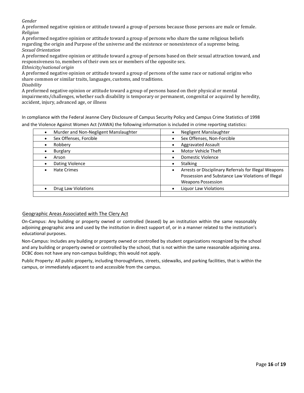*Gender*

A preformed negative opinion or attitude toward a group of persons because those persons are male or female. *Religion*

A preformed negative opinion or attitude toward a group of persons who share the same religious beliefs regarding the origin and Purpose of the universe and the existence or nonexistence of a supreme being. *Sexual Orientation*

A preformed negative opinion or attitude toward a group of persons based on their sexual attraction toward, and responsiveness to, members of their own sex or members of the opposite sex.

*Ethnicity/national origin*

A preformed negative opinion or attitude toward a group of persons of the same race or national origins who share common or similar traits, languages, customs, and traditions.

*Disability*

A preformed negative opinion or attitude toward a group of persons based on their physical or mental impairments/challenges, whether such disability is temporary or permanent, congenital or acquired by heredity, accident, injury, advanced age, or illness

In compliance with the Federal Jeanne Clery Disclosure of Campus Security Policy and Campus Crime Statistics of 1998 and the Violence Against Women Act (VAWA) the following information is included in crime reporting statistics:

| Murder and Non-Negligent Manslaughter | Negligent Manslaughter                                                                                                                   |
|---------------------------------------|------------------------------------------------------------------------------------------------------------------------------------------|
| Sex Offenses, Forcible                | Sex Offenses, Non-Forcible                                                                                                               |
| Robbery                               | <b>Aggravated Assault</b>                                                                                                                |
| <b>Burglary</b>                       | Motor Vehicle Theft                                                                                                                      |
| Arson                                 | Domestic Violence                                                                                                                        |
| Dating Violence                       | <b>Stalking</b>                                                                                                                          |
| <b>Hate Crimes</b>                    | Arrests or Disciplinary Referrals for Illegal Weapons<br>Possession and Substance Law Violations of Illegal<br><b>Weapons Possession</b> |
| Drug Law Violations                   | Liguor Law Violations                                                                                                                    |
|                                       |                                                                                                                                          |

#### Geographic Areas Associated with The Clery Act

On-Campus: Any building or property owned or controlled (leased) by an institution within the same reasonably adjoining geographic area and used by the institution in direct support of, or in a manner related to the institution's educational purposes.

Non-Campus: Includes any building or property owned or controlled by student organizations recognized by the school and any building or property owned or controlled by the school, that is not within the same reasonable adjoining area. DCBC does not have any non-campus buildings; this would not apply.

Public Property: All public property, including thoroughfares, streets, sidewalks, and parking facilities, that is within the campus, or immediately adjacent to and accessible from the campus.